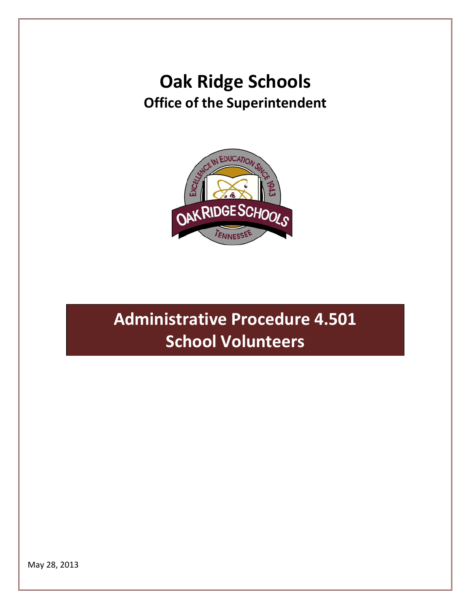# **Oak Ridge Schools Office of the Superintendent**



# **Administrative Procedure 4.501 School Volunteers**

May 28, 2013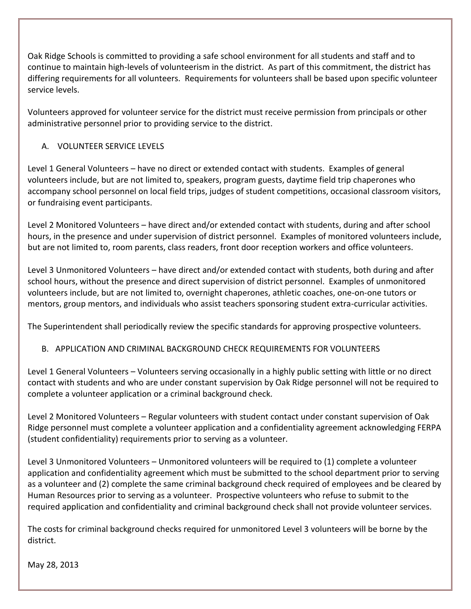Oak Ridge Schools is committed to providing a safe school environment for all students and staff and to continue to maintain high-levels of volunteerism in the district. As part of this commitment, the district has differing requirements for all volunteers. Requirements for volunteers shall be based upon specific volunteer service levels.

Volunteers approved for volunteer service for the district must receive permission from principals or other administrative personnel prior to providing service to the district.

## A. VOLUNTEER SERVICE LEVELS

Level 1 General Volunteers – have no direct or extended contact with students. Examples of general volunteers include, but are not limited to, speakers, program guests, daytime field trip chaperones who accompany school personnel on local field trips, judges of student competitions, occasional classroom visitors, or fundraising event participants.

Level 2 Monitored Volunteers – have direct and/or extended contact with students, during and after school hours, in the presence and under supervision of district personnel. Examples of monitored volunteers include, but are not limited to, room parents, class readers, front door reception workers and office volunteers.

Level 3 Unmonitored Volunteers – have direct and/or extended contact with students, both during and after school hours, without the presence and direct supervision of district personnel. Examples of unmonitored volunteers include, but are not limited to, overnight chaperones, athletic coaches, one-on-one tutors or mentors, group mentors, and individuals who assist teachers sponsoring student extra-curricular activities.

The Superintendent shall periodically review the specific standards for approving prospective volunteers.

#### B. APPLICATION AND CRIMINAL BACKGROUND CHECK REQUIREMENTS FOR VOLUNTEERS

Level 1 General Volunteers – Volunteers serving occasionally in a highly public setting with little or no direct contact with students and who are under constant supervision by Oak Ridge personnel will not be required to complete a volunteer application or a criminal background check.

Level 2 Monitored Volunteers – Regular volunteers with student contact under constant supervision of Oak Ridge personnel must complete a volunteer application and a confidentiality agreement acknowledging FERPA (student confidentiality) requirements prior to serving as a volunteer.

Level 3 Unmonitored Volunteers – Unmonitored volunteers will be required to (1) complete a volunteer application and confidentiality agreement which must be submitted to the school department prior to serving as a volunteer and (2) complete the same criminal background check required of employees and be cleared by Human Resources prior to serving as a volunteer. Prospective volunteers who refuse to submit to the required application and confidentiality and criminal background check shall not provide volunteer services.

The costs for criminal background checks required for unmonitored Level 3 volunteers will be borne by the district.

May 28, 2013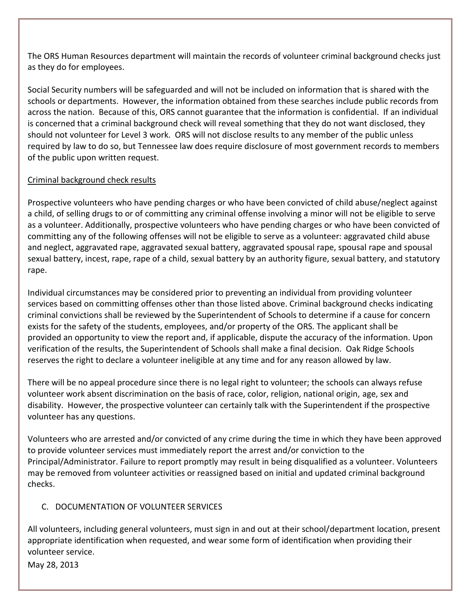The ORS Human Resources department will maintain the records of volunteer criminal background checks just as they do for employees.

Social Security numbers will be safeguarded and will not be included on information that is shared with the schools or departments. However, the information obtained from these searches include public records from across the nation. Because of this, ORS cannot guarantee that the information is confidential. If an individual is concerned that a criminal background check will reveal something that they do not want disclosed, they should not volunteer for Level 3 work. ORS will not disclose results to any member of the public unless required by law to do so, but Tennessee law does require disclosure of most government records to members of the public upon written request.

#### Criminal background check results

Prospective volunteers who have pending charges or who have been convicted of child abuse/neglect against a child, of selling drugs to or of committing any criminal offense involving a minor will not be eligible to serve as a volunteer. Additionally, prospective volunteers who have pending charges or who have been convicted of committing any of the following offenses will not be eligible to serve as a volunteer: aggravated child abuse and neglect, aggravated rape, aggravated sexual battery, aggravated spousal rape, spousal rape and spousal sexual battery, incest, rape, rape of a child, sexual battery by an authority figure, sexual battery, and statutory rape.

Individual circumstances may be considered prior to preventing an individual from providing volunteer services based on committing offenses other than those listed above. Criminal background checks indicating criminal convictions shall be reviewed by the Superintendent of Schools to determine if a cause for concern exists for the safety of the students, employees, and/or property of the ORS. The applicant shall be provided an opportunity to view the report and, if applicable, dispute the accuracy of the information. Upon verification of the results, the Superintendent of Schools shall make a final decision. Oak Ridge Schools reserves the right to declare a volunteer ineligible at any time and for any reason allowed by law.

There will be no appeal procedure since there is no legal right to volunteer; the schools can always refuse volunteer work absent discrimination on the basis of race, color, religion, national origin, age, sex and disability. However, the prospective volunteer can certainly talk with the Superintendent if the prospective volunteer has any questions.

Volunteers who are arrested and/or convicted of any crime during the time in which they have been approved to provide volunteer services must immediately report the arrest and/or conviction to the Principal/Administrator. Failure to report promptly may result in being disqualified as a volunteer. Volunteers may be removed from volunteer activities or reassigned based on initial and updated criminal background checks.

## C. DOCUMENTATION OF VOLUNTEER SERVICES

All volunteers, including general volunteers, must sign in and out at their school/department location, present appropriate identification when requested, and wear some form of identification when providing their volunteer service.

May 28, 2013